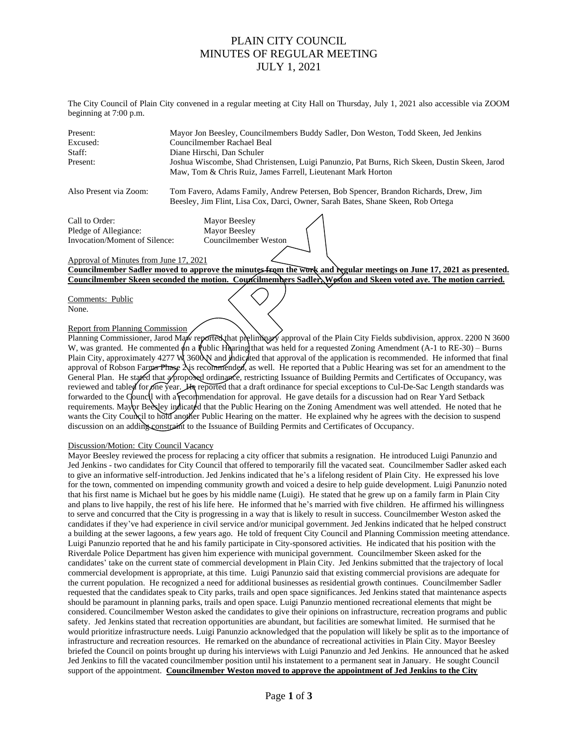## PLAIN CITY COUNCIL MINUTES OF REGULAR MEETING JULY 1, 2021

The City Council of Plain City convened in a regular meeting at City Hall on Thursday, July 1, 2021 also accessible via ZOOM beginning at 7:00 p.m.

| Present: | Mayor Jon Beesley, Councilmembers Buddy Sadler, Don Weston, Todd Skeen, Jed Jenkins                                                                           |
|----------|---------------------------------------------------------------------------------------------------------------------------------------------------------------|
| Excused: | Councilmember Rachael Beal                                                                                                                                    |
| Staff:   | Diane Hirschi, Dan Schuler                                                                                                                                    |
| Present: | Joshua Wiscombe, Shad Christensen, Luigi Panunzio, Pat Burns, Rich Skeen, Dustin Skeen, Jarod<br>Maw, Tom & Chris Ruiz, James Farrell, Lieutenant Mark Horton |

Also Present via Zoom: Tom Favero, Adams Family, Andrew Petersen, Bob Spencer, Brandon Richards, Drew, Jim Beesley, Jim Flint, Lisa Cox, Darci, Owner, Sarah Bates, Shane Skeen, Rob Ortega

Call to Order: Mayor Beesley Pledge of Allegiance: Mayor Beesley Invocation/Moment of Silence: Councilmember Weston

### Approval of Minutes from June 17, 2021

**Councilmember Sadler moved to approve the minutes from the work and regular meetings on June 17, 2021 as presented. Councilmember Skeen seconded the motion. Councilmembers Sadler, Weston and Skeen voted aye. The motion carried.**

Comments: Public None.

## Report from Planning Commission

Planning Commissioner, Jarod Maw reported that preliminary approval of the Plain City Fields subdivision, approx. 2200 N 3600 W, was granted. He commented  $\phi$ n a Public Hearing that was held for a requested Zoning Amendment (A-1 to RE-30) – Burns Plain City, approximately  $4277$  W  $360$  and indicated that approval of the application is recommended. He informed that final approval of Robson Farms Phase  $\lambda$  is recommended, as well. He reported that a Public Hearing was set for an amendment to the General Plan. He stated that a proposed ordinance, restricting Issuance of Building Permits and Certificates of Occupancy, was reviewed and tabled for one year. He reported that a draft ordinance for special exceptions to Cul-De-Sac Length standards was forwarded to the Council with a recommendation for approval. He gave details for a discussion had on Rear Yard Setback requirements. Mayor Beesley indicated that the Public Hearing on the Zoning Amendment was well attended. He noted that he wants the City Council to hold another Public Hearing on the matter. He explained why he agrees with the decision to suspend discussion on an adding constraint to the Issuance of Building Permits and Certificates of Occupancy.

### Discussion/Motion: City Council Vacancy

Mayor Beesley reviewed the process for replacing a city officer that submits a resignation. He introduced Luigi Panunzio and Jed Jenkins - two candidates for City Council that offered to temporarily fill the vacated seat. Councilmember Sadler asked each to give an informative self-introduction. Jed Jenkins indicated that he's a lifelong resident of Plain City. He expressed his love for the town, commented on impending community growth and voiced a desire to help guide development. Luigi Panunzio noted that his first name is Michael but he goes by his middle name (Luigi). He stated that he grew up on a family farm in Plain City and plans to live happily, the rest of his life here. He informed that he's married with five children. He affirmed his willingness to serve and concurred that the City is progressing in a way that is likely to result in success. Councilmember Weston asked the candidates if they've had experience in civil service and/or municipal government. Jed Jenkins indicated that he helped construct a building at the sewer lagoons, a few years ago. He told of frequent City Council and Planning Commission meeting attendance. Luigi Panunzio reported that he and his family participate in City-sponsored activities. He indicated that his position with the Riverdale Police Department has given him experience with municipal government. Councilmember Skeen asked for the candidates' take on the current state of commercial development in Plain City. Jed Jenkins submitted that the trajectory of local commercial development is appropriate, at this time. Luigi Panunzio said that existing commercial provisions are adequate for the current population. He recognized a need for additional businesses as residential growth continues. Councilmember Sadler requested that the candidates speak to City parks, trails and open space significances. Jed Jenkins stated that maintenance aspects should be paramount in planning parks, trails and open space. Luigi Panunzio mentioned recreational elements that might be considered. Councilmember Weston asked the candidates to give their opinions on infrastructure, recreation programs and public safety. Jed Jenkins stated that recreation opportunities are abundant, but facilities are somewhat limited. He surmised that he would prioritize infrastructure needs. Luigi Panunzio acknowledged that the population will likely be split as to the importance of infrastructure and recreation resources. He remarked on the abundance of recreational activities in Plain City. Mayor Beesley briefed the Council on points brought up during his interviews with Luigi Panunzio and Jed Jenkins. He announced that he asked Jed Jenkins to fill the vacated councilmember position until his instatement to a permanent seat in January. He sought Council support of the appointment. **Councilmember Weston moved to approve the appointment of Jed Jenkins to the City**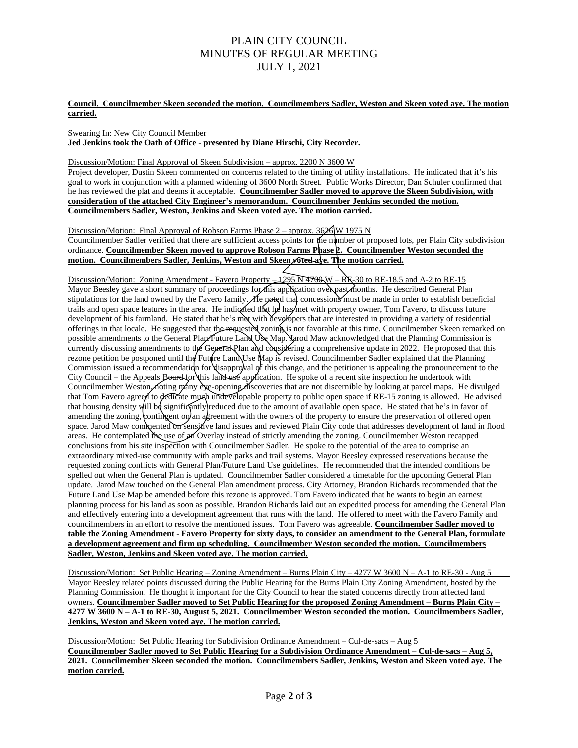# PLAIN CITY COUNCIL MINUTES OF REGULAR MEETING JULY 1, 2021

**Council. Councilmember Skeen seconded the motion. Councilmembers Sadler, Weston and Skeen voted aye. The motion carried.**

Swearing In: New City Council Member **Jed Jenkins took the Oath of Office - presented by Diane Hirschi, City Recorder.**

Discussion/Motion: Final Approval of Skeen Subdivision – approx. 2200 N 3600 W

Project developer, Dustin Skeen commented on concerns related to the timing of utility installations. He indicated that it's his goal to work in conjunction with a planned widening of 3600 North Street. Public Works Director, Dan Schuler confirmed that he has reviewed the plat and deems it acceptable. **Councilmember Sadler moved to approve the Skeen Subdivision, with consideration of the attached City Engineer's memorandum. Councilmember Jenkins seconded the motion. Councilmembers Sadler, Weston, Jenkins and Skeen voted aye. The motion carried.**

Discussion/Motion: Final Approval of Robson Farms Phase 2 – approx. 3626 W 1975 N Councilmember Sadler verified that there are sufficient access points for the number of proposed lots, per Plain City subdivision ordinance. **Councilmember Skeen moved to approve Robson Farms Phase 2. Councilmember Weston seconded the motion. Councilmembers Sadler, Jenkins, Weston and Skeen voted aye. The motion carried.**

Discussion/Motion: Zoning Amendment - Favero Property – 1295 N 4700 W – R E-30 to RE-18.5 and A-2 to RE-15 Mayor Beesley gave a short summary of proceedings for this application over past months. He described General Plan stipulations for the land owned by the Favero family. He noted that concessions must be made in order to establish beneficial trails and open space features in the area. He indicated that he has/met with property owner, Tom Favero, to discuss future development of his farmland. He stated that he's met with developers that are interested in providing a variety of residential offerings in that locale. He suggested that the requested zoning is not favorable at this time. Councilmember Skeen remarked on possible amendments to the General Plan/Future Land Use Map. Jarod Maw acknowledged that the Planning Commission is currently discussing amendments to the General Plan and considering a comprehensive update in 2022. He proposed that this rezone petition be postponed until the Future Land Use Map is revised. Councilmember Sadler explained that the Planning Commission issued a recommendation for disapproval of this change, and the petitioner is appealing the pronouncement to the City Council – the Appeals Board for this land use application. He spoke of a recent site inspection he undertook with Councilmember Weston, noting many eye-opening discoveries that are not discernible by looking at parcel maps. He divulged that Tom Favero agreed to dedicate much undevelopable property to public open space if RE-15 zoning is allowed. He advised that housing density will be significantly reduced due to the amount of available open space. He stated that he's in favor of amending the zoning, contingent on an agreement with the owners of the property to ensure the preservation of offered open space. Jarod Maw commented on sensitive land issues and reviewed Plain City code that addresses development of land in flood areas. He contemplated the use of an Overlay instead of strictly amending the zoning. Councilmember Weston recapped conclusions from his site inspection with Councilmember Sadler. He spoke to the potential of the area to comprise an extraordinary mixed-use community with ample parks and trail systems. Mayor Beesley expressed reservations because the requested zoning conflicts with General Plan/Future Land Use guidelines. He recommended that the intended conditions be spelled out when the General Plan is updated. Councilmember Sadler considered a timetable for the upcoming General Plan update. Jarod Maw touched on the General Plan amendment process. City Attorney, Brandon Richards recommended that the Future Land Use Map be amended before this rezone is approved. Tom Favero indicated that he wants to begin an earnest planning process for his land as soon as possible. Brandon Richards laid out an expedited process for amending the General Plan and effectively entering into a development agreement that runs with the land. He offered to meet with the Favero Family and councilmembers in an effort to resolve the mentioned issues. Tom Favero was agreeable. **Councilmember Sadler moved to table the Zoning Amendment - Favero Property for sixty days, to consider an amendment to the General Plan, formulate a development agreement and firm up scheduling. Councilmember Weston seconded the motion. Councilmembers Sadler, Weston, Jenkins and Skeen voted aye. The motion carried.**

Discussion/Motion: Set Public Hearing – Zoning Amendment – Burns Plain City – 4277 W 3600 N – A-1 to RE-30 - Aug 5 Mayor Beesley related points discussed during the Public Hearing for the Burns Plain City Zoning Amendment, hosted by the Planning Commission. He thought it important for the City Council to hear the stated concerns directly from affected land owners. **Councilmember Sadler moved to Set Public Hearing for the proposed Zoning Amendment – Burns Plain City – 4277 W 3600 N – A-1 to RE-30, August 5, 2021. Councilmember Weston seconded the motion. Councilmembers Sadler, Jenkins, Weston and Skeen voted aye. The motion carried.**

Discussion/Motion: Set Public Hearing for Subdivision Ordinance Amendment – Cul-de-sacs – Aug 5 **Councilmember Sadler moved to Set Public Hearing for a Subdivision Ordinance Amendment – Cul-de-sacs – Aug 5, 2021. Councilmember Skeen seconded the motion. Councilmembers Sadler, Jenkins, Weston and Skeen voted aye. The motion carried.**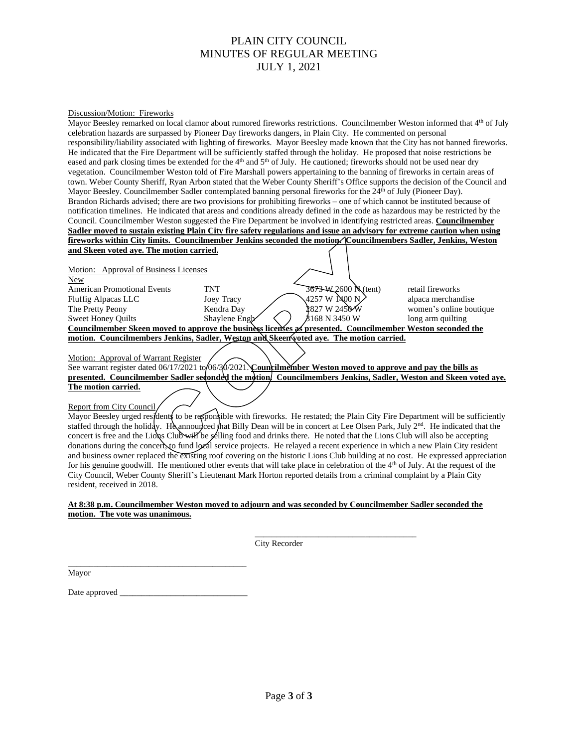# PLAIN CITY COUNCIL MINUTES OF REGULAR MEETING JULY 1, 2021

#### Discussion/Motion: Fireworks

Mayor Beesley remarked on local clamor about rumored fireworks restrictions. Councilmember Weston informed that 4<sup>th</sup> of July celebration hazards are surpassed by Pioneer Day fireworks dangers, in Plain City. He commented on personal responsibility/liability associated with lighting of fireworks. Mayor Beesley made known that the City has not banned fireworks. He indicated that the Fire Department will be sufficiently staffed through the holiday. He proposed that noise restrictions be eased and park closing times be extended for the 4<sup>th</sup> and 5<sup>th</sup> of July. He cautioned; fireworks should not be used near dry vegetation. Councilmember Weston told of Fire Marshall powers appertaining to the banning of fireworks in certain areas of town. Weber County Sheriff, Ryan Arbon stated that the Weber County Sheriff's Office supports the decision of the Council and Mayor Beesley. Councilmember Sadler contemplated banning personal fireworks for the 24<sup>th</sup> of July (Pioneer Day). Brandon Richards advised; there are two provisions for prohibiting fireworks – one of which cannot be instituted because of notification timelines. He indicated that areas and conditions already defined in the code as hazardous may be restricted by the Council. Councilmember Weston suggested the Fire Department be involved in identifying restricted areas. **Councilmember Sadler moved to sustain existing Plain City fire safety regulations and issue an advisory for extreme caution when using fireworks within City limits. Councilmember Jenkins seconded the motion. Councilmembers Sadler, Jenkins, Weston and Skeen voted aye. The motion carried.**

| Motion: Approval of Business Licenses                                                                      |                   |                      |                         |  |
|------------------------------------------------------------------------------------------------------------|-------------------|----------------------|-------------------------|--|
| <b>New</b>                                                                                                 |                   |                      |                         |  |
| <b>American Promotional Events</b>                                                                         | <b>TNT</b>        | 3673-W 2600 N (tent) | retail fireworks        |  |
| <b>Fluffig Alpacas LLC</b>                                                                                 | <b>Joey Tracy</b> | ,4257 W 1400 N       | alpaca merchandise      |  |
| The Pretty Peony                                                                                           | Kendra Day        | 1827 W 2450 W        | women's online boutique |  |
| <b>Sweet Honey Ouilts</b>                                                                                  | Shaylene Engh     | \$168 N 3450 W       | long arm quilting       |  |
| Councilmember Skeen moved to approve the business licenses as presented. Councilmember Weston seconded the |                   |                      |                         |  |
| motion. Councilmembers Jenkins, Sadler, Weston and Skeen voted aye. The motion carried.                    |                   |                      |                         |  |
|                                                                                                            |                   |                      |                         |  |

Motion: Approval of Warrant Register

See warrant register dated 06/17/2021 to 06/30/2021. **Councilmember Weston moved to approve and pay the bills as presented. Councilmember Sadler seconded the motion. Councilmembers Jenkins, Sadler, Weston and Skeen voted aye. The motion carried.**

### Report from City Council

Mayor Beesley urged residents to be responsible with fireworks. He restated; the Plain City Fire Department will be sufficiently staffed through the holiday. He announced that Billy Dean will be in concert at Lee Olsen Park, July 2<sup>nd</sup>. He indicated that the concert is free and the Lions Club will be selling food and drinks there. He noted that the Lions Club will also be accepting donations during the concert, to fund local service projects. He relayed a recent experience in which a new Plain City resident and business owner replaced the existing roof covering on the historic Lions Club building at no cost. He expressed appreciation for his genuine goodwill. He mentioned other events that will take place in celebration of the 4<sup>th</sup> of July. At the request of the City Council, Weber County Sheriff's Lieutenant Mark Horton reported details from a criminal complaint by a Plain City resident, received in 2018.

## **At 8:38 p.m. Councilmember Weston moved to adjourn and was seconded by Councilmember Sadler seconded the motion. The vote was unanimous.**

 $\mathcal{L}_\mathcal{L}$  , which is a set of the set of the set of the set of the set of the set of the set of the set of the set of the set of the set of the set of the set of the set of the set of the set of the set of the set of City Recorder

Mayor

Date approved \_

\_\_\_\_\_\_\_\_\_\_\_\_\_\_\_\_\_\_\_\_\_\_\_\_\_\_\_\_\_\_\_\_\_\_\_\_\_\_\_\_\_\_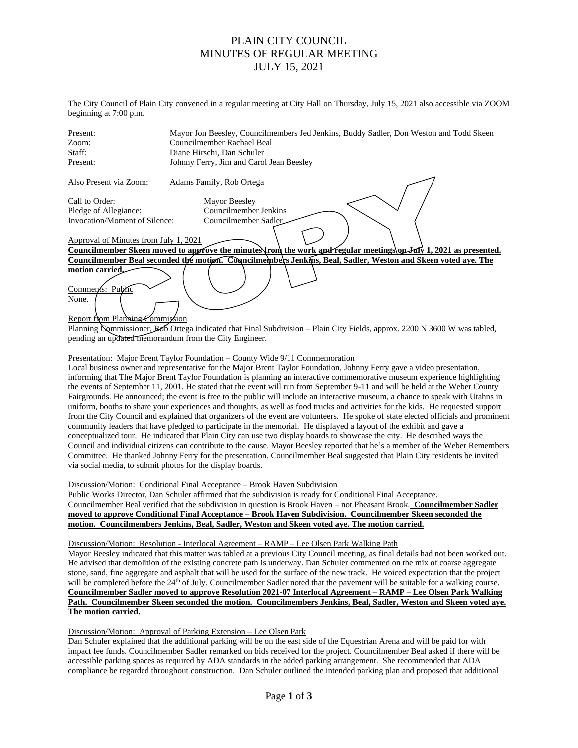## PLAIN CITY COUNCIL MINUTES OF REGULAR MEETING JULY 15, 2021

The City Council of Plain City convened in a regular meeting at City Hall on Thursday, July 15, 2021 also accessible via ZOOM beginning at 7:00 p.m.

| Present:                                                                                                          | Mayor Jon Beesley, Councilmembers Jed Jenkins, Buddy Sadler, Don Weston and Todd Skeen                                    |  |  |  |
|-------------------------------------------------------------------------------------------------------------------|---------------------------------------------------------------------------------------------------------------------------|--|--|--|
| Zoom:                                                                                                             | Councilmember Rachael Beal                                                                                                |  |  |  |
| Staff:                                                                                                            | Diane Hirschi, Dan Schuler                                                                                                |  |  |  |
| Present:                                                                                                          | Johnny Ferry, Jim and Carol Jean Beesley                                                                                  |  |  |  |
| Also Present via Zoom:                                                                                            | Adams Family, Rob Ortega                                                                                                  |  |  |  |
| Call to Order:                                                                                                    | Mayor Beesley                                                                                                             |  |  |  |
| Pledge of Allegiance:                                                                                             | Councilmember Jenkins                                                                                                     |  |  |  |
| Invocation/Moment of Silence:                                                                                     | Councilmember Sadler                                                                                                      |  |  |  |
| Approval of Minutes from July 1, 2021                                                                             |                                                                                                                           |  |  |  |
| Councilmember Skeen moved to approve the minutes from the work and regular meetings on July 1, 2021 as presented. |                                                                                                                           |  |  |  |
| Councilmember Beal seconded the motion. Councilmembers Jenkins, Beal, Sadler, Weston and Skeen voted aye. The     |                                                                                                                           |  |  |  |
| motion carried<br>Comments: Public                                                                                |                                                                                                                           |  |  |  |
| None.<br>Report from Planning Commission                                                                          |                                                                                                                           |  |  |  |
|                                                                                                                   | Planning Commissioner, Rob Ortega indicated that Final Subdivision – Plain City Fields, approx. 2200 N 3600 W was tabled, |  |  |  |
|                                                                                                                   | pending an updated memorandum from the City Engineer.                                                                     |  |  |  |

#### Presentation: Major Brent Taylor Foundation – County Wide 9/11 Commemoration

Local business owner and representative for the Major Brent Taylor Foundation, Johnny Ferry gave a video presentation, informing that The Major Brent Taylor Foundation is planning an interactive commemorative museum experience highlighting the events of September 11, 2001. He stated that the event will run from September 9-11 and will be held at the Weber County Fairgrounds. He announced; the event is free to the public will include an interactive museum, a chance to speak with Utahns in uniform, booths to share your experiences and thoughts, as well as food trucks and activities for the kids. He requested support from the City Council and explained that organizers of the event are volunteers. He spoke of state elected officials and prominent community leaders that have pledged to participate in the memorial. He displayed a layout of the exhibit and gave a conceptualized tour. He indicated that Plain City can use two display boards to showcase the city. He described ways the Council and individual citizens can contribute to the cause. Mayor Beesley reported that he's a member of the Weber Remembers Committee. He thanked Johnny Ferry for the presentation. Councilmember Beal suggested that Plain City residents be invited via social media, to submit photos for the display boards.

### Discussion/Motion: Conditional Final Acceptance – Brook Haven Subdivision

Public Works Director, Dan Schuler affirmed that the subdivision is ready for Conditional Final Acceptance. Councilmember Beal verified that the subdivision in question is Brook Haven – not Pheasant Brook. **Councilmember Sadler moved to approve Conditional Final Acceptance – Brook Haven Subdivision. Councilmember Skeen seconded the motion. Councilmembers Jenkins, Beal, Sadler, Weston and Skeen voted aye. The motion carried.**

#### Discussion/Motion: Resolution - Interlocal Agreement – RAMP – Lee Olsen Park Walking Path

Mayor Beesley indicated that this matter was tabled at a previous City Council meeting, as final details had not been worked out. He advised that demolition of the existing concrete path is underway. Dan Schuler commented on the mix of coarse aggregate stone, sand, fine aggregate and asphalt that will be used for the surface of the new track. He voiced expectation that the project will be completed before the 24<sup>th</sup> of July. Councilmember Sadler noted that the pavement will be suitable for a walking course. **Councilmember Sadler moved to approve Resolution 2021-07 Interlocal Agreement – RAMP – Lee Olsen Park Walking Path. Councilmember Skeen seconded the motion. Councilmembers Jenkins, Beal, Sadler, Weston and Skeen voted aye. The motion carried.**

Discussion/Motion: Approval of Parking Extension – Lee Olsen Park

Dan Schuler explained that the additional parking will be on the east side of the Equestrian Arena and will be paid for with impact fee funds. Councilmember Sadler remarked on bids received for the project. Councilmember Beal asked if there will be accessible parking spaces as required by ADA standards in the added parking arrangement. She recommended that ADA compliance be regarded throughout construction. Dan Schuler outlined the intended parking plan and proposed that additional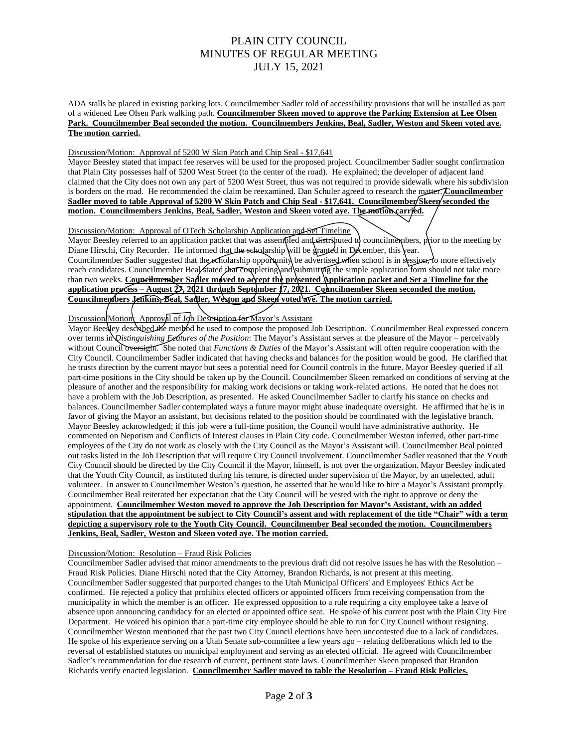# PLAIN CITY COUNCIL MINUTES OF REGULAR MEETING JULY 15, 2021

ADA stalls be placed in existing parking lots. Councilmember Sadler told of accessibility provisions that will be installed as part of a widened Lee Olsen Park walking path. **Councilmember Skeen moved to approve the Parking Extension at Lee Olsen Park. Councilmember Beal seconded the motion. Councilmembers Jenkins, Beal, Sadler, Weston and Skeen voted aye. The motion carried.**

### Discussion/Motion: Approval of 5200 W Skin Patch and Chip Seal - \$17,641

Mayor Beesley stated that impact fee reserves will be used for the proposed project. Councilmember Sadler sought confirmation that Plain City possesses half of 5200 West Street (to the center of the road). He explained; the developer of adjacent land claimed that the City does not own any part of 5200 West Street, thus was not required to provide sidewalk where his subdivision is borders on the road. He recommended the claim be reexamined. Dan Schuler agreed to research the matter. **Councilmember Sadler moved to table Approval of 5200 W Skin Patch and Chip Seal - \$17,641. Councilmember Skeen seconded the motion. Councilmembers Jenkins, Beal, Sadler, Weston and Skeen voted aye. The motion carried.**

Discussion/Motion: Approval of OTech Scholarship Application and Set Timeline

Mayor Beesley referred to an application packet that was assembled and distributed to councilmembers, prior to the meeting by Diane Hirschi, City Recorder. He informed that the scholarship will be granted in December, this year. Councilmember Sadler suggested that the scholarship opportunity be advertised when school is in session, to more effectively reach candidates. Councilmember Beal stated that completing and submitting the simple application form should not take more than two weeks. **Councilmember Sadler moved to accept the presented Application packet and Set a Timeline for the application process – August 27, 2021 through September 17, 2021. Councilmember Skeen seconded the motion. Councilmembers Jenkins, Beal, Sadler, Weston and Skeen voted aye. The motion carried.**

## Discussion Motion: Approval of Job Description for Mayor's Assistant

Mayor Beesley described the method he used to compose the proposed Job Description. Councilmember Beal expressed concern over terms in *Distinguishing Features of the Position*: The Mayor's Assistant serves at the pleasure of the Mayor – perceivably without Council oversight. She noted that *Functions & Duties* of the Mayor's Assistant will often require cooperation with the City Council. Councilmember Sadler indicated that having checks and balances for the position would be good. He clarified that he trusts direction by the current mayor but sees a potential need for Council controls in the future. Mayor Beesley queried if all part-time positions in the City should be taken up by the Council. Councilmember Skeen remarked on conditions of serving at the pleasure of another and the responsibility for making work decisions or taking work-related actions. He noted that he does not have a problem with the Job Description, as presented. He asked Councilmember Sadler to clarify his stance on checks and balances. Councilmember Sadler contemplated ways a future mayor might abuse inadequate oversight. He affirmed that he is in favor of giving the Mayor an assistant, but decisions related to the position should be coordinated with the legislative branch. Mayor Beesley acknowledged; if this job were a full-time position, the Council would have administrative authority. He commented on Nepotism and Conflicts of Interest clauses in Plain City code. Councilmember Weston inferred, other part-time employees of the City do not work as closely with the City Council as the Mayor's Assistant will. Councilmember Beal pointed out tasks listed in the Job Description that will require City Council involvement. Councilmember Sadler reasoned that the Youth City Council should be directed by the City Council if the Mayor, himself, is not over the organization. Mayor Beesley indicated that the Youth City Council, as instituted during his tenure, is directed under supervision of the Mayor, by an unelected, adult volunteer. In answer to Councilmember Weston's question, he asserted that he would like to hire a Mayor's Assistant promptly. Councilmember Beal reiterated her expectation that the City Council will be vested with the right to approve or deny the appointment. **Councilmember Weston moved to approve the Job Description for Mayor's Assistant, with an added stipulation that the appointment be subject to City Council's assent and with replacement of the title "Chair" with a term depicting a supervisory role to the Youth City Council. Councilmember Beal seconded the motion. Councilmembers Jenkins, Beal, Sadler, Weston and Skeen voted aye. The motion carried.**

#### Discussion/Motion: Resolution – Fraud Risk Policies

Councilmember Sadler advised that minor amendments to the previous draft did not resolve issues he has with the Resolution – Fraud Risk Policies. Diane Hirschi noted that the City Attorney, Brandon Richards, is not present at this meeting. Councilmember Sadler suggested that purported changes to the Utah Municipal Officers' and Employees' Ethics Act be confirmed. He rejected a policy that prohibits elected officers or appointed officers from receiving compensation from the municipality in which the member is an officer. He expressed opposition to a rule requiring a city employee take a leave of absence upon announcing candidacy for an elected or appointed office seat. He spoke of his current post with the Plain City Fire Department. He voiced his opinion that a part-time city employee should be able to run for City Council without resigning. Councilmember Weston mentioned that the past two City Council elections have been uncontested due to a lack of candidates. He spoke of his experience serving on a Utah Senate sub-committee a few years ago – relating deliberations which led to the reversal of established statutes on municipal employment and serving as an elected official. He agreed with Councilmember Sadler's recommendation for due research of current, pertinent state laws. Councilmember Skeen proposed that Brandon Richards verify enacted legislation. **Councilmember Sadler moved to table the Resolution – Fraud Risk Policies.**